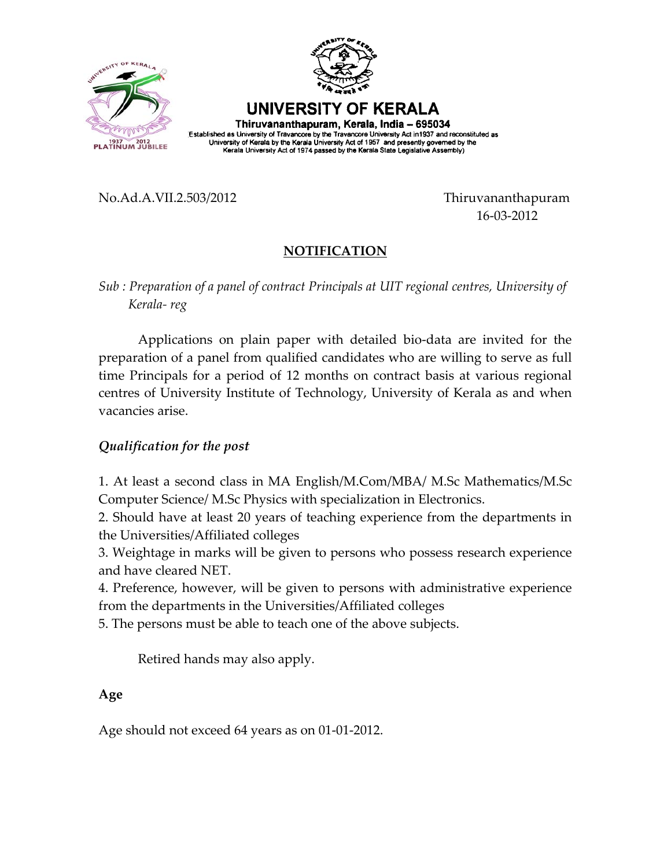



UNIVERSITY OF KERALA Thiruvananthapuram, Kerala, India - 695034

Established as University of Travancore by the Travancore University Act in 1937 and reconstituted as<br>University of Kerala by the Kerala University Act of 1957 and presently governed by the Kerala University Act of 1974 passed by the Kerala State Legislative Assembly)

No.Ad.A.VII.2.503/2012 Thiruvananthapuram

16‐03‐2012

## **NOTIFICATION**

*Sub : Preparation of a panel of contract Principals at UIT regional centres, University of Kerala‐ reg*

Applications on plain paper with detailed bio‐data are invited for the preparation of a panel from qualified candidates who are willing to serve as full time Principals for a period of 12 months on contract basis at various regional centres of University Institute of Technology, University of Kerala as and when vacancies arise.

## *Qualification for the post*

1. At least a second class in MA English/M.Com/MBA/ M.Sc Mathematics/M.Sc Computer Science/ M.Sc Physics with specialization in Electronics.

2. Should have at least 20 years of teaching experience from the departments in the Universities/Affiliated colleges

3. Weightage in marks will be given to persons who possess research experience and have cleared NET.

4. Preference, however, will be given to persons with administrative experience from the departments in the Universities/Affiliated colleges

5. The persons must be able to teach one of the above subjects.

Retired hands may also apply.

## **Age**

Age should not exceed 64 years as on 01‐01‐2012.